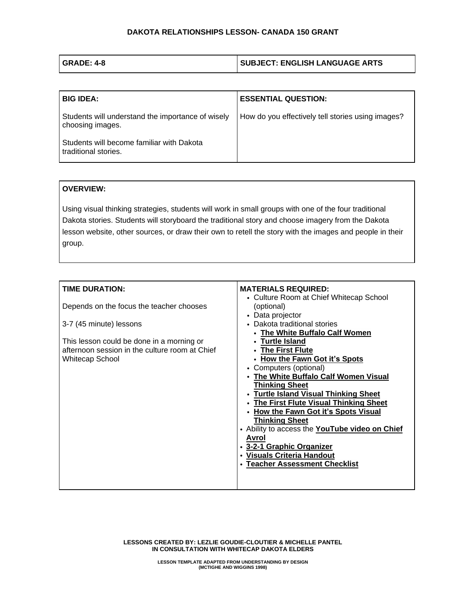| GRADE: 4-8 | <b>SUBJECT: ENGLISH LANGUAGE ARTS</b> |
|------------|---------------------------------------|
|            |                                       |

| <b>BIG IDEA:</b>                                                      | <b>ESSENTIAL QUESTION:</b>                        |
|-----------------------------------------------------------------------|---------------------------------------------------|
| Students will understand the importance of wisely<br>choosing images. | How do you effectively tell stories using images? |
| Students will become familiar with Dakota<br>traditional stories.     |                                                   |

## **OVERVIEW:**

Using visual thinking strategies, students will work in small groups with one of the four traditional Dakota stories. Students will storyboard the traditional story and choose imagery from the Dakota lesson website, other sources, or draw their own to retell the story with the images and people in their group.

| <b>TIME DURATION:</b>                          | <b>MATERIALS REQUIRED:</b>                     |
|------------------------------------------------|------------------------------------------------|
|                                                | • Culture Room at Chief Whitecap School        |
| Depends on the focus the teacher chooses       | (optional)                                     |
|                                                | • Data projector                               |
| 3-7 (45 minute) lessons                        | • Dakota traditional stories                   |
|                                                | • The White Buffalo Calf Women                 |
| This lesson could be done in a morning or      | • Turtle Island                                |
| afternoon session in the culture room at Chief | • The First Flute                              |
| <b>Whitecap School</b>                         | • How the Fawn Got it's Spots                  |
|                                                | • Computers (optional)                         |
|                                                | • The White Buffalo Calf Women Visual          |
|                                                | <b>Thinking Sheet</b>                          |
|                                                | • Turtle Island Visual Thinking Sheet          |
|                                                | • The First Flute Visual Thinking Sheet        |
|                                                | • How the Fawn Got it's Spots Visual           |
|                                                | <b>Thinking Sheet</b>                          |
|                                                | • Ability to access the YouTube video on Chief |
|                                                | Avrol                                          |
|                                                | • 3-2-1 Graphic Organizer                      |
|                                                | • Visuals Criteria Handout                     |
|                                                | <b>Teacher Assessment Checklist</b>            |
|                                                |                                                |
|                                                |                                                |

**LESSONS CREATED BY: LEZLIE GOUDIE-CLOUTIER & MICHELLE PANTEL IN CONSULTATION WITH WHITECAP DAKOTA ELDERS**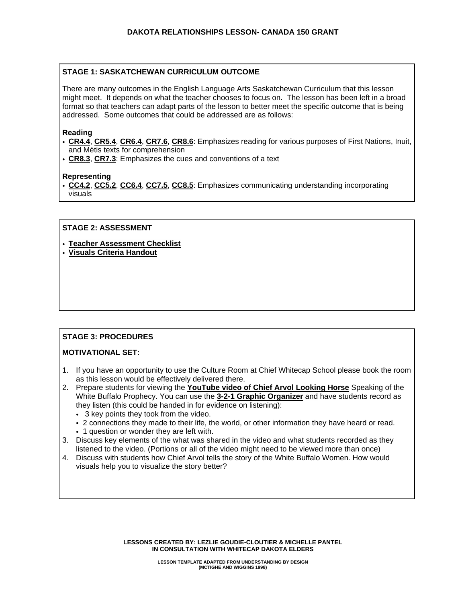## **STAGE 1: SASKATCHEWAN CURRICULUM OUTCOME**

There are many outcomes in the English Language Arts Saskatchewan Curriculum that this lesson might meet. It depends on what the teacher chooses to focus on. The lesson has been left in a broad format so that teachers can adapt parts of the lesson to better meet the specific outcome that is being addressed. Some outcomes that could be addressed are as follows:

#### **Reading**

- **[CR4.4](https://curriculum.gov.sk.ca/webapps/moe-curriculum-BBLEARN/CurriculumOutcomeContent?id=30&oc=64883)**, **[CR5.4](https://curriculum.gov.sk.ca/webapps/moe-curriculum-BBLEARN/CurriculumOutcomeContent?id=31&oc=64964)**, **[CR6.4](https://curriculum.gov.sk.ca/webapps/moe-curriculum-BBLEARN/CurriculumOutcomeContent?id=32&oc=73780)**, **[CR7.6](https://curriculum.gov.sk.ca/webapps/moe-curriculum-BBLEARN/CurriculumOutcomeContent?id=32&oc=73780)**, **[CR8.6](https://curriculum.gov.sk.ca/webapps/moe-curriculum-BBLEARN/CurriculumOutcomeContent?id=34&oc=74191)**: Emphasizes reading for various purposes of First Nations, Inuit, and Métis texts for comprehension
- **[CR8.3](https://curriculum.gov.sk.ca/webapps/moe-curriculum-BBLEARN/CurriculumOutcomeContent?id=34&oc=74172)**, **[CR7.3](https://curriculum.gov.sk.ca/webapps/moe-curriculum-BBLEARN/CurriculumOutcomeContent?id=33&oc=73963)**: Emphasizes the cues and conventions of a text

#### **Representing**

• **[CC4.2](https://curriculum.gov.sk.ca/webapps/moe-curriculum-BBLEARN/CurriculumOutcomeContent?id=30&oc=64899)**, **[CC5.2](https://curriculum.gov.sk.ca/webapps/moe-curriculum-BBLEARN/CurriculumOutcomeContent?id=31&oc=64980)**, **[CC6.4](https://curriculum.gov.sk.ca/webapps/moe-curriculum-BBLEARN/CurriculumOutcomeContent?id=32&oc=73846)**, **[CC7.5](https://curriculum.gov.sk.ca/webapps/moe-curriculum-BBLEARN/CurriculumOutcomeContent?id=33&oc=74054)**, **[CC8.5](https://curriculum.gov.sk.ca/webapps/moe-curriculum-BBLEARN/CurriculumOutcomeContent?id=34&oc=74248)**: Emphasizes communicating understanding incorporating visuals

#### **STAGE 2: ASSESSMENT**

- **Teacher [Assessment](https://dakotalessons.ca/wp-content/uploads/2018/01/Teacher-Assessment-Checklist-1-1.pdf) Checklist**
- **Visuals Criteria [Handout](https://dakotalessons.ca/wp-content/uploads/2018/01/Visuals-Criteria.pdf)**

# **STAGE 3: PROCEDURES**

### **MOTIVATIONAL SET:**

- 1. If you have an opportunity to use the Culture Room at Chief Whitecap School please book the room as this lesson would be effectively delivered there.
- 2. Prepare students for viewing the **[YouTube](https://www.youtube.com/watch?v=PHqVdZmpRgI&feature=youtu.be) video of Chief Arvol Looking Horse** Speaking of the White Buffalo Prophecy. You can use the **3-2-1 Graphic [Organizer](https://dakotalessons.ca/wp-content/uploads/2018/01/3-2-1-Graphic-Organizer.pdf)** and have students record as they listen (this could be handed in for evidence on listening):
	- 3 key points they took from the video.
	- 2 connections they made to their life, the world, or other information they have heard or read.
	- 1 question or wonder they are left with.
- 3. Discuss key elements of the what was shared in the video and what students recorded as they listened to the video. (Portions or all of the video might need to be viewed more than once)
- 4. Discuss with students how Chief Arvol tells the story of the White Buffalo Women. How would visuals help you to visualize the story better?

**LESSONS CREATED BY: LEZLIE GOUDIE-CLOUTIER & MICHELLE PANTEL IN CONSULTATION WITH WHITECAP DAKOTA ELDERS**

> **LESSON TEMPLATE ADAPTED FROM UNDERSTANDING BY DESIGN (MCTIGHE AND WIGGINS 1998)**